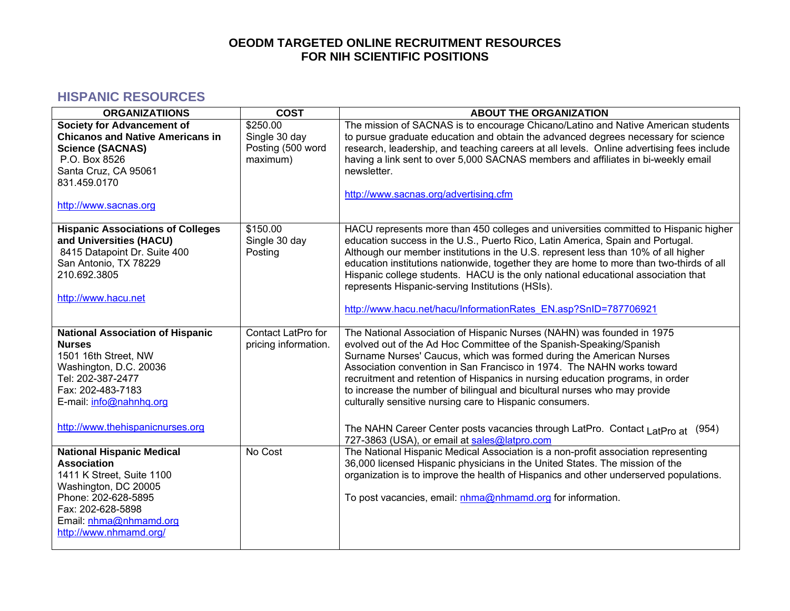#### **HISPANIC RESOURCES**

| <b>ORGANIZATIIONS</b>                                                                                                                                                                                               | <b>COST</b>                                                | <b>ABOUT THE ORGANIZATION</b>                                                                                                                                                                                                                                                                                                                                                                                                                                                                                                                                                                                                                                  |
|---------------------------------------------------------------------------------------------------------------------------------------------------------------------------------------------------------------------|------------------------------------------------------------|----------------------------------------------------------------------------------------------------------------------------------------------------------------------------------------------------------------------------------------------------------------------------------------------------------------------------------------------------------------------------------------------------------------------------------------------------------------------------------------------------------------------------------------------------------------------------------------------------------------------------------------------------------------|
| <b>Society for Advancement of</b><br><b>Chicanos and Native Americans in</b><br><b>Science (SACNAS)</b><br>P.O. Box 8526<br>Santa Cruz, CA 95061<br>831.459.0170<br>http://www.sacnas.org                           | \$250.00<br>Single 30 day<br>Posting (500 word<br>maximum) | The mission of SACNAS is to encourage Chicano/Latino and Native American students<br>to pursue graduate education and obtain the advanced degrees necessary for science<br>research, leadership, and teaching careers at all levels. Online advertising fees include<br>having a link sent to over 5,000 SACNAS members and affiliates in bi-weekly email<br>newsletter.<br>http://www.sacnas.org/advertising.cfm                                                                                                                                                                                                                                              |
| <b>Hispanic Associations of Colleges</b><br>and Universities (HACU)<br>8415 Datapoint Dr. Suite 400<br>San Antonio, TX 78229<br>210.692.3805<br>http://www.hacu.net                                                 | \$150.00<br>Single 30 day<br>Posting                       | HACU represents more than 450 colleges and universities committed to Hispanic higher<br>education success in the U.S., Puerto Rico, Latin America, Spain and Portugal.<br>Although our member institutions in the U.S. represent less than 10% of all higher<br>education institutions nationwide, together they are home to more than two-thirds of all<br>Hispanic college students. HACU is the only national educational association that<br>represents Hispanic-serving Institutions (HSIs).<br>http://www.hacu.net/hacu/InformationRates EN.asp?SnID=787706921                                                                                           |
| <b>National Association of Hispanic</b><br><b>Nurses</b><br>1501 16th Street, NW<br>Washington, D.C. 20036<br>Tel: 202-387-2477<br>Fax: 202-483-7183<br>E-mail: info@nahnhq.org<br>http://www.thehispanicnurses.org | Contact LatPro for<br>pricing information.                 | The National Association of Hispanic Nurses (NAHN) was founded in 1975<br>evolved out of the Ad Hoc Committee of the Spanish-Speaking/Spanish<br>Surname Nurses' Caucus, which was formed during the American Nurses<br>Association convention in San Francisco in 1974. The NAHN works toward<br>recruitment and retention of Hispanics in nursing education programs, in order<br>to increase the number of bilingual and bicultural nurses who may provide<br>culturally sensitive nursing care to Hispanic consumers.<br>The NAHN Career Center posts vacancies through LatPro. Contact $L$ atPro at (954)<br>727-3863 (USA), or email at sales@latpro.com |
| <b>National Hispanic Medical</b><br><b>Association</b><br>1411 K Street, Suite 1100<br>Washington, DC 20005<br>Phone: 202-628-5895<br>Fax: 202-628-5898<br>Email: nhma@nhmamd.org<br>http://www.nhmamd.org/         | No Cost                                                    | The National Hispanic Medical Association is a non-profit association representing<br>36,000 licensed Hispanic physicians in the United States. The mission of the<br>organization is to improve the health of Hispanics and other underserved populations.<br>To post vacancies, email: nhma@nhmamd.org for information.                                                                                                                                                                                                                                                                                                                                      |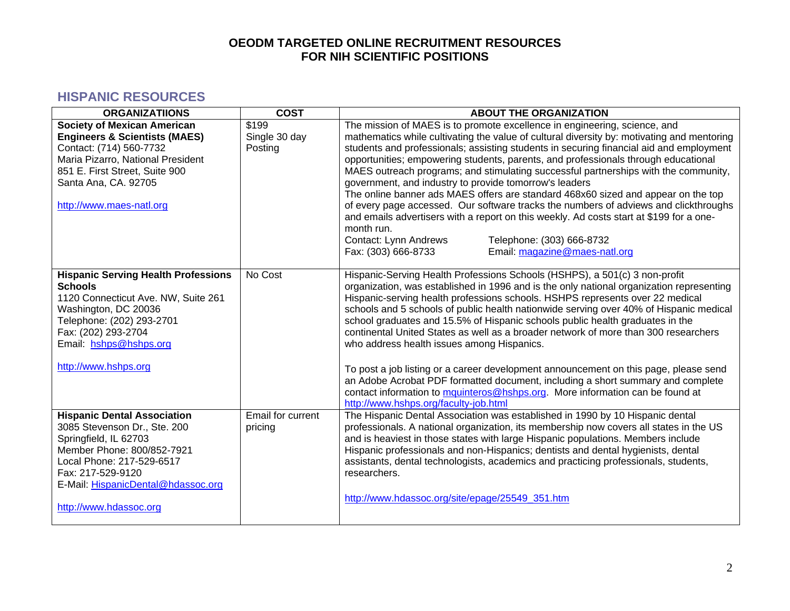### **HISPANIC RESOURCES**

| <b>ORGANIZATIIONS</b>                                                                                                                                                                                                                       | <b>COST</b>                       | <b>ABOUT THE ORGANIZATION</b>                                                                                                                                                                                                                                                                                                                                                                                                                                                                                                                                                                                                                                                                                                                                                                                                                                                                                 |
|---------------------------------------------------------------------------------------------------------------------------------------------------------------------------------------------------------------------------------------------|-----------------------------------|---------------------------------------------------------------------------------------------------------------------------------------------------------------------------------------------------------------------------------------------------------------------------------------------------------------------------------------------------------------------------------------------------------------------------------------------------------------------------------------------------------------------------------------------------------------------------------------------------------------------------------------------------------------------------------------------------------------------------------------------------------------------------------------------------------------------------------------------------------------------------------------------------------------|
| <b>Society of Mexican American</b><br><b>Engineers &amp; Scientists (MAES)</b><br>Contact: (714) 560-7732<br>Maria Pizarro, National President<br>851 E. First Street, Suite 900<br>Santa Ana, CA. 92705<br>http://www.maes-natl.org        | \$199<br>Single 30 day<br>Posting | The mission of MAES is to promote excellence in engineering, science, and<br>mathematics while cultivating the value of cultural diversity by: motivating and mentoring<br>students and professionals; assisting students in securing financial aid and employment<br>opportunities; empowering students, parents, and professionals through educational<br>MAES outreach programs; and stimulating successful partnerships with the community,<br>government, and industry to provide tomorrow's leaders<br>The online banner ads MAES offers are standard 468x60 sized and appear on the top<br>of every page accessed. Our software tracks the numbers of adviews and clickthroughs<br>and emails advertisers with a report on this weekly. Ad costs start at \$199 for a one-<br>month run.<br>Contact: Lynn Andrews<br>Telephone: (303) 666-8732<br>Email: magazine@maes-natl.org<br>Fax: (303) 666-8733 |
| <b>Hispanic Serving Health Professions</b><br><b>Schools</b><br>1120 Connecticut Ave. NW, Suite 261<br>Washington, DC 20036<br>Telephone: (202) 293-2701<br>Fax: (202) 293-2704<br>Email: hshps@hshps.org<br>http://www.hshps.org           | No Cost                           | Hispanic-Serving Health Professions Schools (HSHPS), a 501(c) 3 non-profit<br>organization, was established in 1996 and is the only national organization representing<br>Hispanic-serving health professions schools. HSHPS represents over 22 medical<br>schools and 5 schools of public health nationwide serving over 40% of Hispanic medical<br>school graduates and 15.5% of Hispanic schools public health graduates in the<br>continental United States as well as a broader network of more than 300 researchers<br>who address health issues among Hispanics.<br>To post a job listing or a career development announcement on this page, please send<br>an Adobe Acrobat PDF formatted document, including a short summary and complete<br>contact information to mquinteros@hshps.org. More information can be found at<br>http://www.hshps.org/faculty-job.html                                  |
| <b>Hispanic Dental Association</b><br>3085 Stevenson Dr., Ste. 200<br>Springfield, IL 62703<br>Member Phone: 800/852-7921<br>Local Phone: 217-529-6517<br>Fax: 217-529-9120<br>E-Mail: HispanicDental@hdassoc.org<br>http://www.hdassoc.org | Email for current<br>pricing      | The Hispanic Dental Association was established in 1990 by 10 Hispanic dental<br>professionals. A national organization, its membership now covers all states in the US<br>and is heaviest in those states with large Hispanic populations. Members include<br>Hispanic professionals and non-Hispanics; dentists and dental hygienists, dental<br>assistants, dental technologists, academics and practicing professionals, students,<br>researchers.<br>http://www.hdassoc.org/site/epage/25549 351.htm                                                                                                                                                                                                                                                                                                                                                                                                     |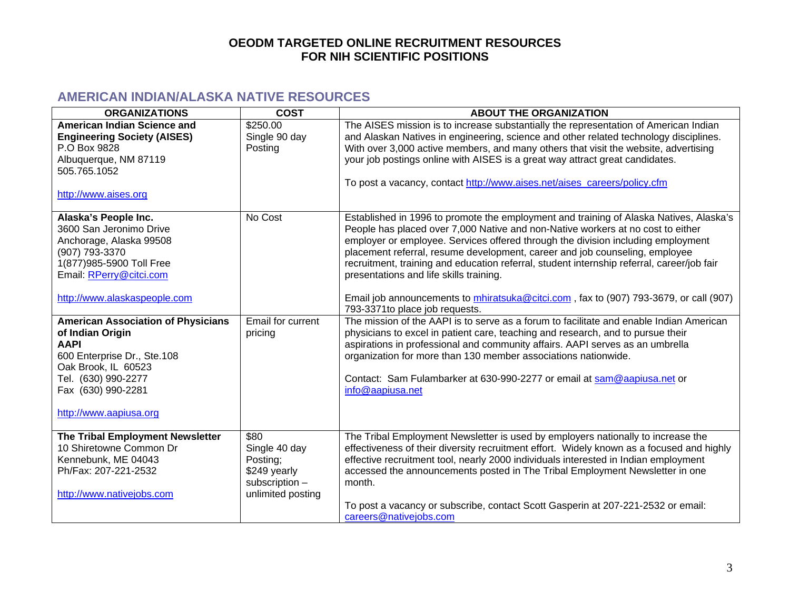## **AMERICAN INDIAN/ALASKA NATIVE RESOURCES**

| <b>ORGANIZATIONS</b>                                                                                                                                                                                      | <b>COST</b>                                                                              | <b>ABOUT THE ORGANIZATION</b>                                                                                                                                                                                                                                                                                                                                                                                                                                                                                                                                                                                     |
|-----------------------------------------------------------------------------------------------------------------------------------------------------------------------------------------------------------|------------------------------------------------------------------------------------------|-------------------------------------------------------------------------------------------------------------------------------------------------------------------------------------------------------------------------------------------------------------------------------------------------------------------------------------------------------------------------------------------------------------------------------------------------------------------------------------------------------------------------------------------------------------------------------------------------------------------|
| <b>American Indian Science and</b><br><b>Engineering Society (AISES)</b><br>P.O Box 9828<br>Albuquerque, NM 87119<br>505.765.1052<br>http://www.aises.org                                                 | \$250.00<br>Single 90 day<br>Posting                                                     | The AISES mission is to increase substantially the representation of American Indian<br>and Alaskan Natives in engineering, science and other related technology disciplines.<br>With over 3,000 active members, and many others that visit the website, advertising<br>your job postings online with AISES is a great way attract great candidates.<br>To post a vacancy, contact http://www.aises.net/aises_careers/policy.cfm                                                                                                                                                                                  |
| Alaska's People Inc.<br>3600 San Jeronimo Drive<br>Anchorage, Alaska 99508<br>(907) 793-3370<br>1(877)985-5900 Toll Free<br>Email: RPerry@citci.com<br>http://www.alaskaspeople.com                       | No Cost                                                                                  | Established in 1996 to promote the employment and training of Alaska Natives, Alaska's<br>People has placed over 7,000 Native and non-Native workers at no cost to either<br>employer or employee. Services offered through the division including employment<br>placement referral, resume development, career and job counseling, employee<br>recruitment, training and education referral, student internship referral, career/job fair<br>presentations and life skills training.<br>Email job announcements to mhiratsuka@citci.com, fax to (907) 793-3679, or call (907)<br>793-3371 to place job requests. |
| <b>American Association of Physicians</b><br>of Indian Origin<br><b>AAPI</b><br>600 Enterprise Dr., Ste.108<br>Oak Brook, IL 60523<br>Tel. (630) 990-2277<br>Fax (630) 990-2281<br>http://www.aapiusa.org | <b>Email for current</b><br>pricing                                                      | The mission of the AAPI is to serve as a forum to facilitate and enable Indian American<br>physicians to excel in patient care, teaching and research, and to pursue their<br>aspirations in professional and community affairs. AAPI serves as an umbrella<br>organization for more than 130 member associations nationwide.<br>Contact: Sam Fulambarker at 630-990-2277 or email at sam@aapiusa.net or<br>info@aapiusa.net                                                                                                                                                                                      |
| The Tribal Employment Newsletter<br>10 Shiretowne Common Dr<br>Kennebunk, ME 04043<br>Ph/Fax: 207-221-2532<br>http://www.nativejobs.com                                                                   | \$80<br>Single 40 day<br>Posting;<br>\$249 yearly<br>subscription -<br>unlimited posting | The Tribal Employment Newsletter is used by employers nationally to increase the<br>effectiveness of their diversity recruitment effort. Widely known as a focused and highly<br>effective recruitment tool, nearly 2000 individuals interested in Indian employment<br>accessed the announcements posted in The Tribal Employment Newsletter in one<br>month.<br>To post a vacancy or subscribe, contact Scott Gasperin at 207-221-2532 or email:<br>careers@nativejobs.com                                                                                                                                      |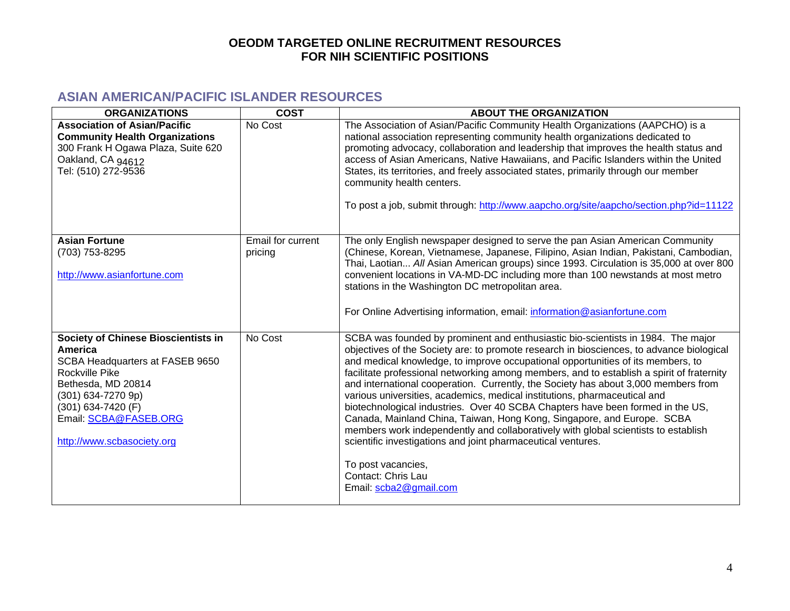# **ASIAN AMERICAN/PACIFIC ISLANDER RESOURCES**

| <b>ORGANIZATIONS</b>                                                                                                                                                                                                                | <b>COST</b>                  | <b>ABOUT THE ORGANIZATION</b>                                                                                                                                                                                                                                                                                                                                                                                                                                                                                                                                                                                                                                                                                                                                                                                                                                                                                           |
|-------------------------------------------------------------------------------------------------------------------------------------------------------------------------------------------------------------------------------------|------------------------------|-------------------------------------------------------------------------------------------------------------------------------------------------------------------------------------------------------------------------------------------------------------------------------------------------------------------------------------------------------------------------------------------------------------------------------------------------------------------------------------------------------------------------------------------------------------------------------------------------------------------------------------------------------------------------------------------------------------------------------------------------------------------------------------------------------------------------------------------------------------------------------------------------------------------------|
| <b>Association of Asian/Pacific</b><br><b>Community Health Organizations</b><br>300 Frank H Ogawa Plaza, Suite 620<br>Oakland, CA 94612<br>Tel: (510) 272-9536                                                                      | No Cost                      | The Association of Asian/Pacific Community Health Organizations (AAPCHO) is a<br>national association representing community health organizations dedicated to<br>promoting advocacy, collaboration and leadership that improves the health status and<br>access of Asian Americans, Native Hawaiians, and Pacific Islanders within the United<br>States, its territories, and freely associated states, primarily through our member<br>community health centers.<br>To post a job, submit through: http://www.aapcho.org/site/aapcho/section.php?id=11122                                                                                                                                                                                                                                                                                                                                                             |
| <b>Asian Fortune</b><br>(703) 753-8295<br>http://www.asianfortune.com                                                                                                                                                               | Email for current<br>pricing | The only English newspaper designed to serve the pan Asian American Community<br>(Chinese, Korean, Vietnamese, Japanese, Filipino, Asian Indian, Pakistani, Cambodian,<br>Thai, Laotian All Asian American groups) since 1993. Circulation is 35,000 at over 800<br>convenient locations in VA-MD-DC including more than 100 newstands at most metro<br>stations in the Washington DC metropolitan area.<br>For Online Advertising information, email: information@asianfortune.com                                                                                                                                                                                                                                                                                                                                                                                                                                     |
| <b>Society of Chinese Bioscientists in</b><br>America<br>SCBA Headquarters at FASEB 9650<br>Rockville Pike<br>Bethesda, MD 20814<br>(301) 634-7270 9p)<br>(301) 634-7420 (F)<br>Email: SCBA@FASEB.ORG<br>http://www.scbasociety.org | No Cost                      | SCBA was founded by prominent and enthusiastic bio-scientists in 1984. The major<br>objectives of the Society are: to promote research in biosciences, to advance biological<br>and medical knowledge, to improve occupational opportunities of its members, to<br>facilitate professional networking among members, and to establish a spirit of fraternity<br>and international cooperation. Currently, the Society has about 3,000 members from<br>various universities, academics, medical institutions, pharmaceutical and<br>biotechnological industries. Over 40 SCBA Chapters have been formed in the US,<br>Canada, Mainland China, Taiwan, Hong Kong, Singapore, and Europe. SCBA<br>members work independently and collaboratively with global scientists to establish<br>scientific investigations and joint pharmaceutical ventures.<br>To post vacancies,<br>Contact: Chris Lau<br>Email: scba2@gmail.com |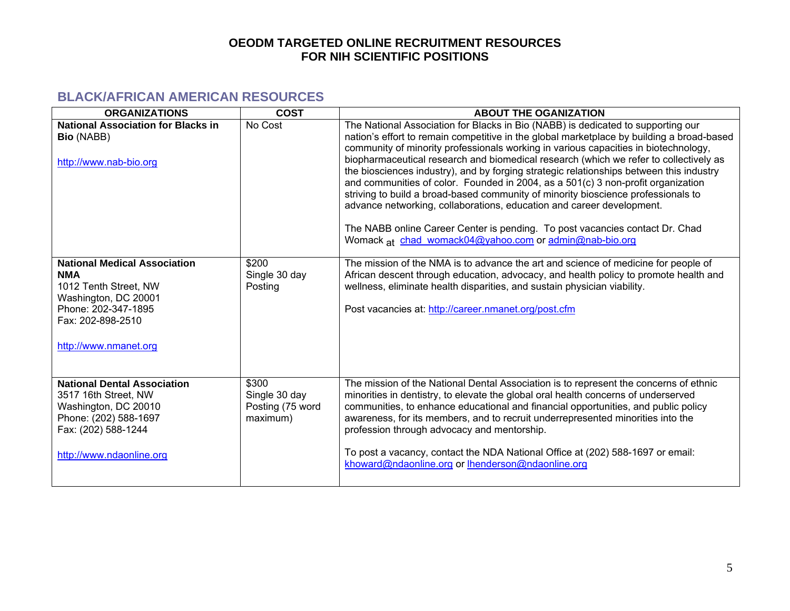# **BLACK/AFRICAN AMERICAN RESOURCES**

| <b>ORGANIZATIONS</b>                                                                                                                                                    | <b>COST</b>                                            | <b>ABOUT THE OGANIZATION</b>                                                                                                                                                                                                                                                                                                                                                                                                                                                                                                                                                                                                                                                                                                                                                                                                                         |
|-------------------------------------------------------------------------------------------------------------------------------------------------------------------------|--------------------------------------------------------|------------------------------------------------------------------------------------------------------------------------------------------------------------------------------------------------------------------------------------------------------------------------------------------------------------------------------------------------------------------------------------------------------------------------------------------------------------------------------------------------------------------------------------------------------------------------------------------------------------------------------------------------------------------------------------------------------------------------------------------------------------------------------------------------------------------------------------------------------|
| <b>National Association for Blacks in</b><br><b>Bio (NABB)</b><br>http://www.nab-bio.org                                                                                | No Cost                                                | The National Association for Blacks in Bio (NABB) is dedicated to supporting our<br>nation's effort to remain competitive in the global marketplace by building a broad-based<br>community of minority professionals working in various capacities in biotechnology,<br>biopharmaceutical research and biomedical research (which we refer to collectively as<br>the biosciences industry), and by forging strategic relationships between this industry<br>and communities of color. Founded in 2004, as a 501(c) 3 non-profit organization<br>striving to build a broad-based community of minority bioscience professionals to<br>advance networking, collaborations, education and career development.<br>The NABB online Career Center is pending. To post vacancies contact Dr. Chad<br>Womack at chad_womack04@yahoo.com or admin@nab-bio.org |
| <b>National Medical Association</b><br><b>NMA</b><br>1012 Tenth Street, NW<br>Washington, DC 20001<br>Phone: 202-347-1895<br>Fax: 202-898-2510<br>http://www.nmanet.org | \$200<br>Single 30 day<br>Posting                      | The mission of the NMA is to advance the art and science of medicine for people of<br>African descent through education, advocacy, and health policy to promote health and<br>wellness, eliminate health disparities, and sustain physician viability.<br>Post vacancies at: http://career.nmanet.org/post.cfm                                                                                                                                                                                                                                                                                                                                                                                                                                                                                                                                       |
| <b>National Dental Association</b><br>3517 16th Street, NW<br>Washington, DC 20010<br>Phone: (202) 588-1697<br>Fax: (202) 588-1244<br>http://www.ndaonline.org          | \$300<br>Single 30 day<br>Posting (75 word<br>maximum) | The mission of the National Dental Association is to represent the concerns of ethnic<br>minorities in dentistry, to elevate the global oral health concerns of underserved<br>communities, to enhance educational and financial opportunities, and public policy<br>awareness, for its members, and to recruit underrepresented minorities into the<br>profession through advocacy and mentorship.<br>To post a vacancy, contact the NDA National Office at (202) 588-1697 or email:<br>khoward@ndaonline.org or lhenderson@ndaonline.org                                                                                                                                                                                                                                                                                                           |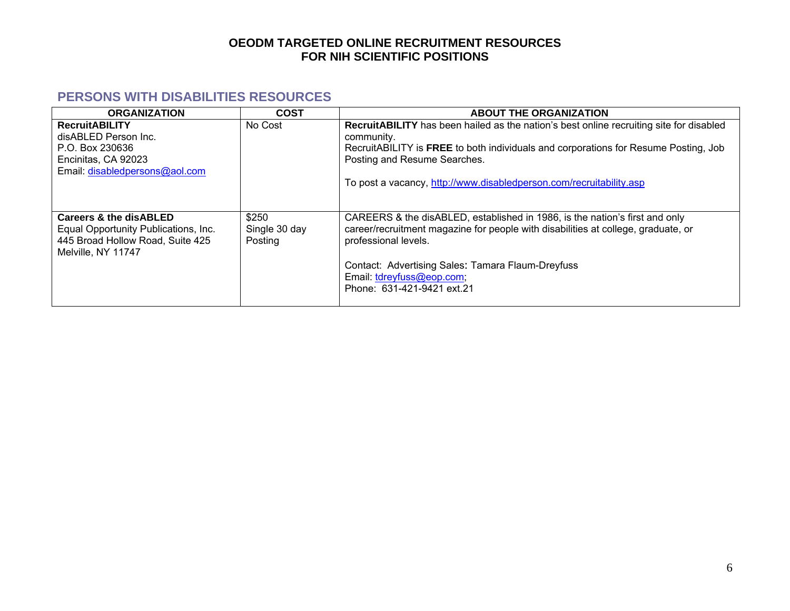### **PERSONS WITH DISABILITIES RESOURCES**

| <b>ORGANIZATION</b>                                                                                                                 | <b>COST</b>                       | <b>ABOUT THE ORGANIZATION</b>                                                                                                                                                            |
|-------------------------------------------------------------------------------------------------------------------------------------|-----------------------------------|------------------------------------------------------------------------------------------------------------------------------------------------------------------------------------------|
| <b>RecruitABILITY</b><br>disABLED Person Inc.                                                                                       | No Cost                           | <b>RecruitABILITY</b> has been hailed as the nation's best online recruiting site for disabled<br>community.                                                                             |
| P.O. Box 230636<br>Encinitas, CA 92023                                                                                              |                                   | RecruitABILITY is FREE to both individuals and corporations for Resume Posting, Job<br>Posting and Resume Searches.                                                                      |
| Email: disabledpersons@aol.com                                                                                                      |                                   | To post a vacancy, http://www.disabledperson.com/recruitability.asp                                                                                                                      |
| <b>Careers &amp; the disABLED</b><br>Equal Opportunity Publications, Inc.<br>445 Broad Hollow Road, Suite 425<br>Melville, NY 11747 | \$250<br>Single 30 day<br>Posting | CAREERS & the disABLED, established in 1986, is the nation's first and only<br>career/recruitment magazine for people with disabilities at college, graduate, or<br>professional levels. |
|                                                                                                                                     |                                   | Contact: Advertising Sales: Tamara Flaum-Dreyfuss<br>Email: tdreyfuss@eop.com;<br>Phone: 631-421-9421 ext.21                                                                             |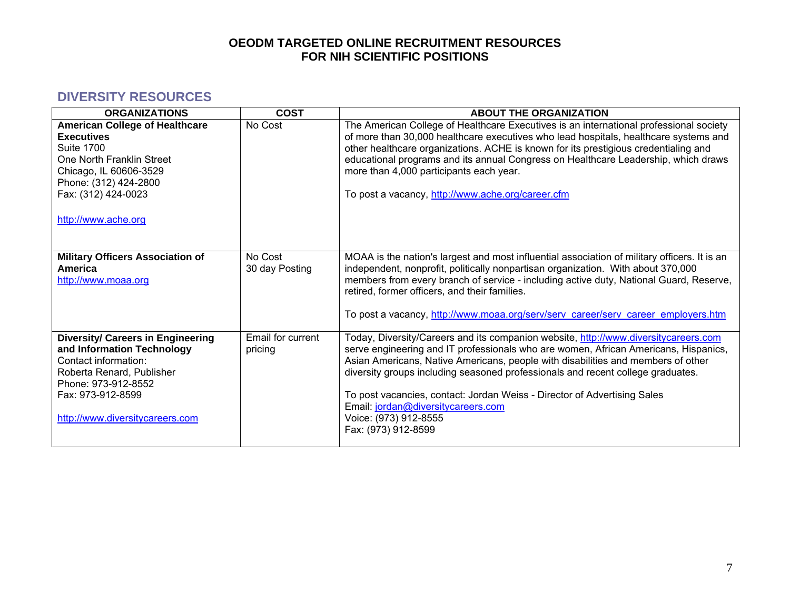### **DIVERSITY RESOURCES**

| <b>ORGANIZATIONS</b>                                                                                                                                                                                          | <b>COST</b>                  | <b>ABOUT THE ORGANIZATION</b>                                                                                                                                                                                                                                                                                                                                                                                                                                                                                       |
|---------------------------------------------------------------------------------------------------------------------------------------------------------------------------------------------------------------|------------------------------|---------------------------------------------------------------------------------------------------------------------------------------------------------------------------------------------------------------------------------------------------------------------------------------------------------------------------------------------------------------------------------------------------------------------------------------------------------------------------------------------------------------------|
| <b>American College of Healthcare</b><br><b>Executives</b><br><b>Suite 1700</b><br>One North Franklin Street<br>Chicago, IL 60606-3529<br>Phone: (312) 424-2800<br>Fax: (312) 424-0023<br>http://www.ache.org | No Cost                      | The American College of Healthcare Executives is an international professional society<br>of more than 30,000 healthcare executives who lead hospitals, healthcare systems and<br>other healthcare organizations. ACHE is known for its prestigious credentialing and<br>educational programs and its annual Congress on Healthcare Leadership, which draws<br>more than 4,000 participants each year.<br>To post a vacancy, http://www.ache.org/career.cfm                                                         |
| <b>Military Officers Association of</b><br><b>America</b><br>http://www.moaa.org                                                                                                                              | No Cost<br>30 day Posting    | MOAA is the nation's largest and most influential association of military officers. It is an<br>independent, nonprofit, politically nonpartisan organization. With about 370,000<br>members from every branch of service - including active duty, National Guard, Reserve,<br>retired, former officers, and their families.<br>To post a vacancy, http://www.moaa.org/serv/serv_career/serv_career_employers.htm                                                                                                    |
| <b>Diversity/ Careers in Engineering</b><br>and Information Technology<br>Contact information:<br>Roberta Renard, Publisher<br>Phone: 973-912-8552<br>Fax: 973-912-8599<br>http://www.diversitycareers.com    | Email for current<br>pricing | Today, Diversity/Careers and its companion website, http://www.diversitycareers.com<br>serve engineering and IT professionals who are women, African Americans, Hispanics,<br>Asian Americans, Native Americans, people with disabilities and members of other<br>diversity groups including seasoned professionals and recent college graduates.<br>To post vacancies, contact: Jordan Weiss - Director of Advertising Sales<br>Email: jordan@diversitycareers.com<br>Voice: (973) 912-8555<br>Fax: (973) 912-8599 |